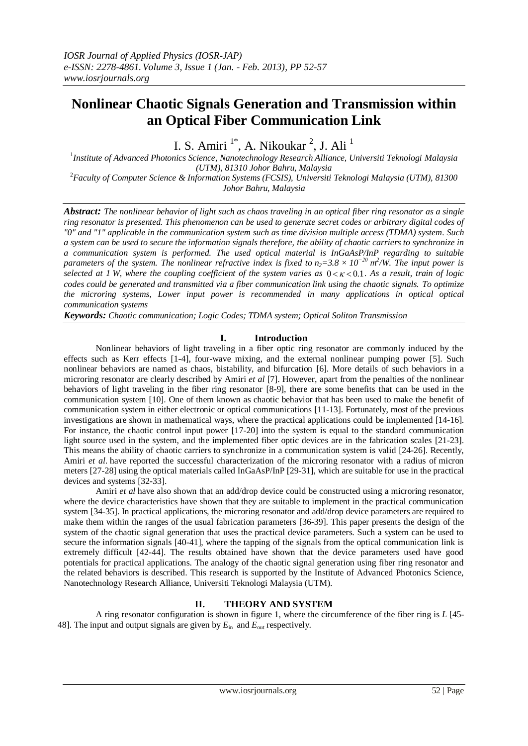# **Nonlinear Chaotic Signals Generation and Transmission within an Optical Fiber Communication Link**

I. S. Amiri<sup>1\*</sup>, A. Nikoukar<sup>2</sup>, J. Ali<sup>1</sup>

1 *Institute of Advanced Photonics Science, Nanotechnology Research Alliance, Universiti Teknologi Malaysia (UTM), 81310 Johor Bahru, Malaysia*

<sup>2</sup>*Faculty of Computer Science & Information Systems (FCSIS), Universiti Teknologi Malaysia (UTM), 81300 Johor Bahru, Malaysia*

*Abstract: The nonlinear behavior of light such as chaos traveling in an optical fiber ring resonator as a single ring resonator is presented. This phenomenon can be used to generate secret codes or arbitrary digital codes of "0" and "1" applicable in the communication system such as time division multiple access (TDMA) system. Such a system can be used to secure the information signals therefore, the ability of chaotic carriers to synchronize in a communication system is performed. The used optical material is InGaAsP/InP regarding to suitable parameters of the system. The nonlinear refractive index is fixed to*  $n_2 = 3.8 \times 10^{-20}$  *m<sup>2</sup>/W. The input power is selected at 1 W, where the coupling coefficient of the system varies as* 0 0.1*. As a result, train of logic codes could be generated and transmitted via a fiber communication link using the chaotic signals. To optimize the microring systems, Lower input power is recommended in many applications in optical optical communication systems* 

*Keywords: Chaotic communication; Logic Codes; TDMA system; Optical Soliton Transmission*

# **I. Introduction**

Nonlinear behaviors of light traveling in a fiber optic ring resonator are commonly induced by the effects such as Kerr effects [1-4], four-wave mixing, and the external nonlinear pumping power [5]. Such nonlinear behaviors are named as chaos, bistability, and bifurcation [6]. More details of such behaviors in a microring resonator are clearly described by Amiri *et al* [7]. However, apart from the penalties of the nonlinear behaviors of light traveling in the fiber ring resonator [8-9], there are some benefits that can be used in the communication system [10]. One of them known as chaotic behavior that has been used to make the benefit of communication system in either electronic or optical communications [11-13]. Fortunately, most of the previous investigations are shown in mathematical ways, where the practical applications could be implemented [14-16]. For instance, the chaotic control input power [17-20] into the system is equal to the standard communication light source used in the system, and the implemented fiber optic devices are in the fabrication scales [21-23]. This means the ability of chaotic carriers to synchronize in a communication system is valid [24-26]. Recently, Amiri *et al*. have reported the successful characterization of the microring resonator with a radius of micron meters [27-28] using the optical materials called InGaAsP/InP [29-31], which are suitable for use in the practical devices and systems [32-33].

Amiri *et al* have also shown that an add/drop device could be constructed using a microring resonator, where the device characteristics have shown that they are suitable to implement in the practical communication system [34-35]. In practical applications, the microring resonator and add/drop device parameters are required to make them within the ranges of the usual fabrication parameters [36-39]. This paper presents the design of the system of the chaotic signal generation that uses the practical device parameters. Such a system can be used to secure the information signals [40-41], where the tapping of the signals from the optical communication link is extremely difficult [42-44]. The results obtained have shown that the device parameters used have good potentials for practical applications. The analogy of the chaotic signal generation using fiber ring resonator and the related behaviors is described. This research is supported by the Institute of Advanced Photonics Science, Nanotechnology Research Alliance, Universiti Teknologi Malaysia (UTM).

# **II. THEORY AND SYSTEM**

A ring resonator configuration is shown in figure 1, where the circumference of the fiber ring is *L* [45- 48]. The input and output signals are given by *E*in and *E*out respectively.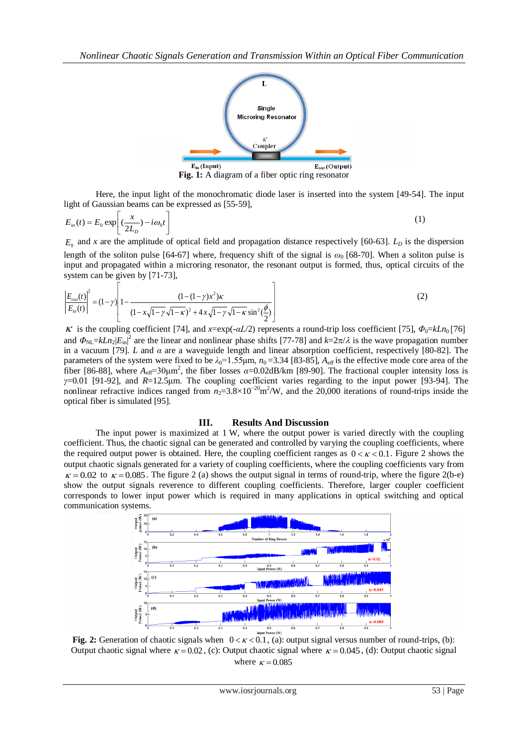

**Fig. 1:** A diagram of a fiber optic ring resonator

Here, the input light of the monochromatic diode laser is inserted into the system [49-54]. The input light of Gaussian beams can be expressed as [55-59],

$$
E_{in}(t) = E_0 \exp\left[ \left( \frac{x}{2L_D} \right) - i \omega_0 t \right]
$$
 (1)

 $E_0$  and *x* are the amplitude of optical field and propagation distance respectively [60-63].  $L_D$  is the dispersion length of the soliton pulse [64-67] where, frequency shift of the signal is *ω*<sup>0</sup> [68-70]. When a soliton pulse is input and propagated within a microring resonator, the resonant output is formed, thus, optical circuits of the system can be given by [71-73],

$$
\left| \frac{E_{out}(t)}{E_{in}(t)} \right|^2 = (1 - \gamma) \left| 1 - \frac{(1 - (1 - \gamma)x^2)\kappa}{(1 - x\sqrt{1 - \gamma}\sqrt{1 - \kappa})^2 + 4x\sqrt{1 - \gamma}\sqrt{1 - \kappa}\sin^2(\frac{\phi}{2})} \right|
$$
(2)

 $\kappa$  is the coupling coefficient [74], and *x*=exp(- $\alpha L/2$ ) represents a round-trip loss coefficient [75],  $\Phi_0 = kLn_0 [76]$ and  $\Phi_{NL} = kLn_2|E_{in}|^2$  are the linear and nonlinear phase shifts [77-78] and  $k=2\pi/\lambda$  is the wave propagation number in a vacuum [79]. *L* and *α* are a waveguide length and linear absorption coefficient, respectively [80-82]. The parameters of the system were fixed to be  $\lambda_0$ =1.55 $\mu$ m,  $n_0$ =3.34 [83-85],  $A_{\text{eff}}$  is the effective mode core area of the fiber [86-88], where  $A_{\text{eff}}=30\mu\text{m}^2$ , the fiber losses  $\alpha=0.02\text{dB/km}$  [89-90]. The fractional coupler intensity loss is *γ*=0.01 [91-92], and *R*=12.5μm. The coupling coefficient varies regarding to the input power [93-94]. The nonlinear refractive indices ranged from  $n_2=3.8\times10^{-20}$  m<sup>2</sup>/W, and the 20,000 iterations of round-trips inside the optical fiber is simulated [95].

### **III. Results And Discussion**

The input power is maximized at 1 W, where the output power is varied directly with the coupling coefficient. Thus, the chaotic signal can be generated and controlled by varying the coupling coefficients, where the required output power is obtained. Here, the coupling coefficient ranges as  $0 < \kappa < 0.1$ . Figure 2 shows the output chaotic signals generated for a variety of coupling coefficients, where the coupling coefficients vary from  $\kappa$  = 0.02 to  $\kappa$  = 0.085. The figure 2 (a) shows the output signal in terms of round-trip, where the figure 2(b-e) show the output signals reverence to different coupling coefficients. Therefore, larger coupler coefficient corresponds to lower input power which is required in many applications in optical switching and optical communication systems.



**Fig. 2:** Generation of chaotic signals when  $0 < \kappa < 0.1$ , (a): output signal versus number of round-trips, (b): Output chaotic signal where  $\kappa = 0.02$ , (c): Output chaotic signal where  $\kappa = 0.045$ , (d): Output chaotic signal where  $\kappa = 0.085$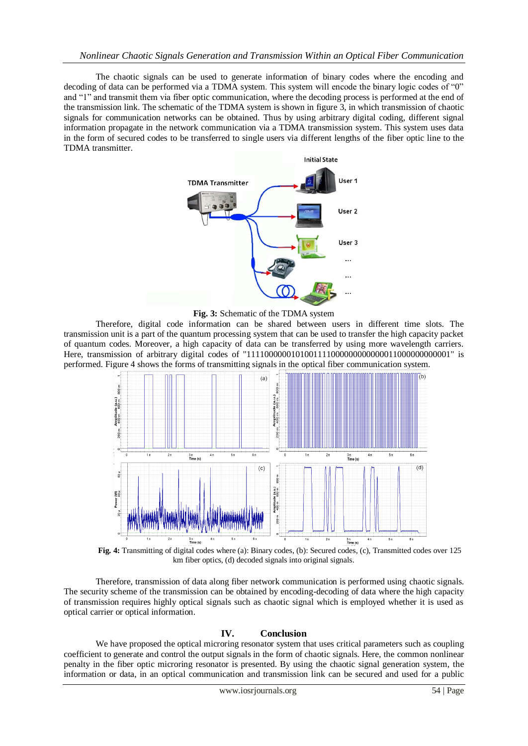The chaotic signals can be used to generate information of binary codes where the encoding and decoding of data can be performed via a TDMA system. This system will encode the binary logic codes of "0" and "1" and transmit them via fiber optic communication, where the decoding process is performed at the end of the transmission link. The schematic of the TDMA system is shown in figure 3, in which transmission of chaotic signals for communication networks can be obtained. Thus by using arbitrary digital coding, different signal information propagate in the network communication via a TDMA transmission system. This system uses data in the form of secured codes to be transferred to single users via different lengths of the fiber optic line to the TDMA transmitter.



**Fig. 3:** Schematic of the TDMA system

Therefore, digital code information can be shared between users in different time slots. The transmission unit is a part of the quantum processing system that can be used to transfer the high capacity packet of quantum codes. Moreover, a high capacity of data can be transferred by using more wavelength carriers. Here, transmission of arbitrary digital codes of "1111000000101001111000000000000011000000000001" is performed. Figure 4 shows the forms of transmitting signals in the optical fiber communication system.



**Fig. 4:** Transmitting of digital codes where (a): Binary codes, (b): Secured codes, (c), Transmitted codes over 125 km fiber optics, (d) decoded signals into original signals.

Therefore, transmission of data along fiber network communication is performed using chaotic signals. The security scheme of the transmission can be obtained by encoding-decoding of data where the high capacity of transmission requires highly optical signals such as chaotic signal which is employed whether it is used as optical carrier or optical information.

## **IV. Conclusion**

We have proposed the optical microring resonator system that uses critical parameters such as coupling coefficient to generate and control the output signals in the form of chaotic signals. Here, the common nonlinear penalty in the fiber optic microring resonator is presented. By using the chaotic signal generation system, the information or data, in an optical communication and transmission link can be secured and used for a public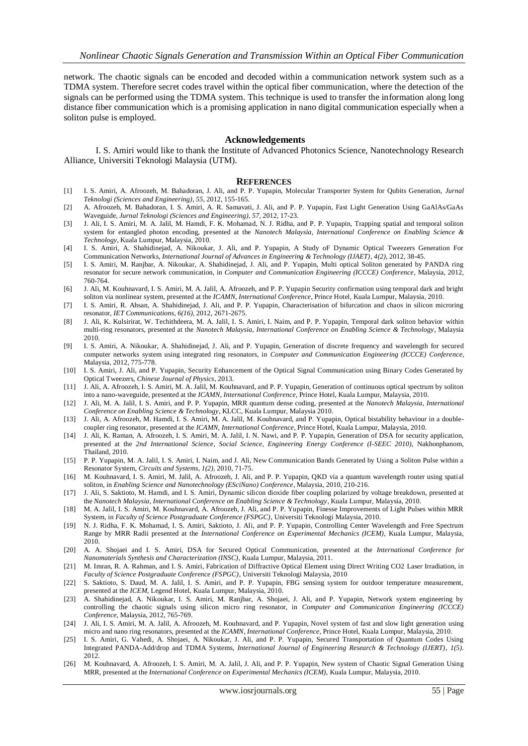network. The chaotic signals can be encoded and decoded within a communication network system such as a TDMA system. Therefore secret codes travel within the optical fiber communication, where the detection of the signals can be performed using the TDMA system. This technique is used to transfer the information along long distance fiber communication which is a promising application in nano digital communication especially when a soliton pulse is employed.

### **Acknowledgements**

I. S. Amiri would like to thank the Institute of Advanced Photonics Science, Nanotechnology Research Alliance, Universiti Teknologi Malaysia (UTM).

#### **REFERENCES**

- [1] I. S. Amiri, A. Afroozeh, M. Bahadoran, J. Ali, and P. P. Yupapin, Molecular Transporter System for Qubits Generation, *Jurnal Teknologi (Sciences and Engineering)*, *55*, 2012, 155-165.
- [2] A. Afroozeh, M. Bahadoran, I. S. Amiri, A. R. Samavati, J. Ali, and P. P. Yupapin, Fast Light Generation Using GaAlAs/GaAs Waveguide, *Jurnal Teknologi (Sciences and Engineering)*, *57*, 2012, 17-23.
- [3] J. Ali, I. S. Amiri, M. A. Jalil, M. Hamdi, F. K. Mohamad, N. J. Ridha, and P. P. Yupapin, Trapping spatial and temporal soliton system for entangled photon encoding, presented at the *Nanotech Malaysia*, *International Conference on Enabling Science & Technology*, Kuala Lumpur, Malaysia, 2010.
- [4] I. S. Amiri, A. Shahidinejad, A. Nikoukar, J. Ali, and P. Yupapin, A Study oF Dynamic Optical Tweezers Generation For Communication Networks, *International Journal of Advances in Engineering & Technology (IJAET)*, *4(2)*, 2012, 38-45.
- [5] I. S. Amiri, M. Ranjbar, A. Nikoukar, A. Shahidinejad, J. Ali, and P. Yupapin, Multi optical Soliton generated by PANDA ring resonator for secure network communication, in *Computer and Communication Engineering (ICCCE) Conference*, Malaysia, 2012, 760-764.
- [6] J. Ali, M. Kouhnavard, I. S. Amiri, M. A. Jalil, A. Afroozeh, and P. P. Yupapin Security confirmation using temporal dark and bright soliton via nonlinear system, presented at the *ICAMN*, *International Conference*, Prince Hotel, Kuala Lumpur, Malaysia, 2010.
- [7] I. S. Amiri, R. Ahsan, A. Shahidinejad, J. Ali, and P. P. Yupapin, Characterisation of bifurcation and chaos in silicon microring resonator, *IET Communications*, *6(16)*, 2012, 2671-2675.
- [8] J. Ali, K. Kulsirirat, W. Techithdeera, M. A. Jalil, I. S. Amiri, I. Naim, and P. P. Yupapin, Temporal dark soliton behavior within multi-ring resonators, presented at the *Nanotech Malaysia*, *International Conference on Enabling Science & Technology*, Malaysia 2010.
- [9] I. S. Amiri, A. Nikoukar, A. Shahidinejad, J. Ali, and P. Yupapin, Generation of discrete frequency and wavelength for secured computer networks system using integrated ring resonators, in *Computer and Communication Engineering (ICCCE) Conference*, Malaysia, 2012, 775-778.
- [10] I. S. Amiri, J. Ali, and P. Yupapin, Security Enhancement of the Optical Signal Communication using Binary Codes Generated by Optical Tweezers, *Chinese Journal of Physics*, 2013.
- [11] J. Ali, A. Afroozeh, I. S. Amiri, M. A. Jalil, M. Kouhnavard, and P. P. Yupapin, Generation of continuous optical spectrum by soliton into a nano-waveguide, presented at the *ICAMN*, *International Conference*, Prince Hotel, Kuala Lumpur, Malaysia, 2010.
- [12] J. Ali, M. A. Jalil, I. S. Amiri, and P. P. Yupapin, MRR quantum dense coding, presented at the *Nanotech Malaysia*, *International Conference on Enabling Science & Technology*, KLCC, Kuala Lumpur, Malaysia 2010.
- [13] J. Ali, A. Afroozeh, M. Hamdi, I. S. Amiri, M. A. Jalil, M. Kouhnavard, and P. Yupapin, Optical bistability behaviour in a doublecoupler ring resonator, presented at the *ICAMN*, *International Conference*, Prince Hotel, Kuala Lumpur, Malaysia, 2010.
- [14] J. Ali, K. Raman, A. Afroozeh, I. S. Amiri, M. A. Jalil, I. N. Nawi, and P. P. Yupapin, Generation of DSA for security application, presented at the *2nd International Science*, *Social Science*, *Engineering Energy Conference (I-SEEC 2010)*, Nakhonphanom, Thailand, 2010.
- [15] P. P. Yupapin, M. A. Jalil, I. S. Amiri, I. Naim, and J. Ali, New Communication Bands Generated by Using a Soliton Pulse within a Resonator System, *Circuits and Systems*, *1(2)*, 2010, 71-75.
- [16] M. Kouhnavard, I. S. Amiri, M. Jalil, A. Afroozeh, J. Ali, and P. P. Yupapin, QKD via a quantum wavelength router using spatial soliton, in *Enabling Science and Nanotechnology (ESciNano) Conference*, Malaysia, 2010, 210-216.
- [17] J. Ali, S. Saktioto, M. Hamdi, and I. S. Amiri, Dynamic silicon dioxide fiber coupling polarized by voltage breakdown, presented at the *Nanotech Malaysia*, *International Conference on Enabling Science & Technology*, Kuala Lumpur, Malaysia, 2010.
- [18] M. A. Jalil, I. S. Amiri, M. Kouhnavard, A. Afroozeh, J. Ali, and P. P. Yupapin, Finesse Improvements of Light Pulses within MRR System, in *Faculty of Science Postgraduate Conference (FSPGC)*, Universiti Teknologi Malaysia, 2010.
- [19] N. J. Ridha, F. K. Mohamad, I. S. Amiri, Saktioto, J. Ali, and P. P. Yupapin, Controlling Center Wavelength and Free Spectrum Range by MRR Radii presented at the *International Conference on Experimental Mechanics (ICEM)*, Kuala Lumpur, Malaysia, 2010.
- [20] A. A. Shojaei and I. S. Amiri, DSA for Secured Optical Communication, presented at the *International Conference for Nanomaterials Synthesis and Characterization (INSC)*, Kuala Lumpur, Malaysia, 2011.
- [21] M. Imran, R. A. Rahman, and I. S. Amiri, Fabrication of Diffractive Optical Element using Direct Writing CO2 Laser Irradiation, in *Faculty of Science Postgraduate Conference (FSPGC)*, Universiti Teknologi Malaysia, 2010
- [22] S. Saktioto, S. Daud, M. A. Jalil, I. S. Amiri, and P. P. Yupapin, FBG sensing system for outdoor temperature measurement, presented at the *ICEM*, Legend Hotel, Kuala Lumpur, Malaysia, 2010.
- [23] A. Shahidinejad, A. Nikoukar, I. S. Amiri, M. Ranjbar, A. Shojaei, J. Ali, and P. Yupapin, Network system engineering by controlling the chaotic signals using silicon micro ring resonator, in *Computer and Communication Engineering (ICCCE) Conference*, Malaysia, 2012, 765-769.
- [24] J. Ali, I. S. Amiri, M. A. Jalil, A. Afroozeh, M. Kouhnavard, and P. Yupapin, Novel system of fast and slow light generation using micro and nano ring resonators, presented at the *ICAMN*, *International Conference*, Prince Hotel, Kuala Lumpur, Malaysia, 2010.
- [25] I. S. Amiri, G. Vahedi, A. Shojaei, A. Nikoukar, J. Ali, and P. P. Yupapin, Secured Transportation of Quantum Codes Using Integrated PANDA-Add/drop and TDMA Systems, *International Journal of Engineering Research & Technology (IJERT)*, *1(5)*. 2012.
- [26] M. Kouhnavard, A. Afroozeh, I. S. Amiri, M. A. Jalil, J. Ali, and P. P. Yupapin, New system of Chaotic Signal Generation Using MRR, presented at the *International Conference on Experimental Mechanics (ICEM)*, Kuala Lumpur, Malaysia, 2010.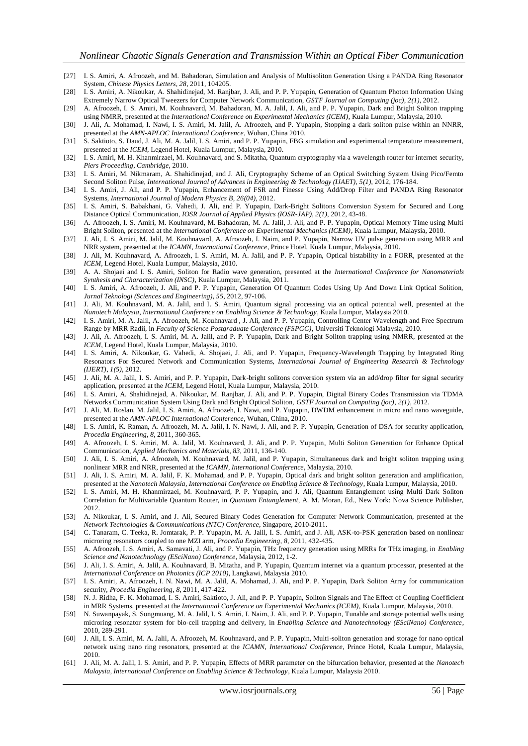- [27] I. S. Amiri, A. Afroozeh, and M. Bahadoran, Simulation and Analysis of Multisoliton Generation Using a PANDA Ring Resonator System, *Chinese Physics Letters*, *28*, 2011, 104205.
- [28] I. S. Amiri, A. Nikoukar, A. Shahidinejad, M. Ranjbar, J. Ali, and P. P. Yupapin, Generation of Quantum Photon Information Using Extremely Narrow Optical Tweezers for Computer Network Communication, *GSTF Journal on Computing (joc)*, *2(1)*, 2012.
- [29] A. Afroozeh, I. S. Amiri, M. Kouhnavard, M. Bahadoran, M. A. Jalil, J. Ali, and P. P. Yupapin, Dark and Bright Soliton trapping using NMRR, presented at the *International Conference on Experimental Mechanics (ICEM)*, Kuala Lumpur, Malaysia, 2010.
- [30] J. Ali, A. Mohamad, I. Nawi, I. S. Amiri, M. Jalil, A. Afroozeh, and P. Yupapin, Stopping a dark soliton pulse within an NNRR, presented at the *AMN-APLOC International Conference*, Wuhan, China 2010.
- [31] S. Saktioto, S. Daud, J. Ali, M. A. Jalil, I. S. Amiri, and P. P. Yupapin, FBG simulation and experimental temperature measurement, presented at the *ICEM*, Legend Hotel, Kuala Lumpur, Malaysia, 2010.
- [32] I. S. Amiri, M. H. Khanmirzaei, M. Kouhnavard, and S. Mitatha, Quantum cryptography via a wavelength router for internet security, *Piers Proceeding*, *Cambridge*, 2010.
- [33] I. S. Amiri, M. Nikmaram, A. Shahidinejad, and J. Ali, Cryptography Scheme of an Optical Switching System Using Pico/Femto Second Soliton Pulse, *International Journal of Advances in Engineering & Technology (IJAET)*, *5(1)*, 2012, 176-184.
- [34] I. S. Amiri, J. Ali, and P. P. Yupapin, Enhancement of FSR and Finesse Using Add/Drop Filter and PANDA Ring Resonator Systems, *International Journal of Modern Physics B*, *26(04)*, 2012.
- [35] I. S. Amiri, S. Babakhani, G. Vahedi, J. Ali, and P. Yupapin, Dark-Bright Solitons Conversion System for Secured and Long Distance Optical Communication, *IOSR Journal of Applied Physics (IOSR-JAP)*, *2(1)*, 2012, 43-48.
- [36] A. Afroozeh, I. S. Amiri, M. Kouhnavard, M. Bahadoran, M. A. Jalil, J. Ali, and P. P. Yupapin, Optical Memory Time using Multi Bright Soliton, presented at the *International Conference on Experimental Mechanics (ICEM)*, Kuala Lumpur, Malaysia, 2010.
- [37] J. Ali, I. S. Amiri, M. Jalil, M. Kouhnavard, A. Afroozeh, I. Naim, and P. Yupapin, Narrow UV pulse generation using MRR and NRR system, presented at the *ICAMN*, *International Conference*, Prince Hotel, Kuala Lumpur, Malaysia, 2010.
- [38] J. Ali, M. Kouhnavard, A. Afroozeh, I. S. Amiri, M. A. Jalil, and P. P. Yupapin, Optical bistability in a FORR, presented at the *ICEM*, Legend Hotel, Kuala Lumpur, Malaysia, 2010.
- [39] A. A. Shojaei and I. S. Amiri, Soliton for Radio wave generation, presented at the *International Conference for Nanomaterials Synthesis and Characterization (INSC)*, Kuala Lumpur, Malaysia, 2011.
- [40] I. S. Amiri, A. Afroozeh, J. Ali, and P. P. Yupapin, Generation Of Quantum Codes Using Up And Down Link Optical Solition, *Jurnal Teknologi (Sciences and Engineering)*, *55*, 2012, 97-106.
- [41] J. Ali, M. Kouhnavard, M. A. Jalil, and I. S. Amiri, Quantum signal processing via an optical potential well, presented at the *Nanotech Malaysia*, *International Conference on Enabling Science & Technology*, Kuala Lumpur, Malaysia 2010.
- [42] I. S. Amiri, M. A. Jalil, A. Afroozeh, M. Kouhnavard , J. Ali, and P. P. Yupapin, Controlling Center Wavelength and Free Spectrum Range by MRR Radii, in *Faculty of Science Postgraduate Conference (FSPGC)*, Universiti Teknologi Malaysia, 2010.
- [43] J. Ali, A. Afroozeh, I. S. Amiri, M. A. Jalil, and P. P. Yupapin, Dark and Bright Soliton trapping using NMRR, presented at the *ICEM*, Legend Hotel, Kuala Lumpur, Malaysia, 2010.
- [44] I. S. Amiri, A. Nikoukar, G. Vahedi, A. Shojaei, J. Ali, and P. Yupapin, Frequency-Wavelength Trapping by Integrated Ring Resonators For Secured Network and Communication Systems, *International Journal of Engineering Research & Technology (IJERT)*, *1(5)*, 2012.
- [45] J. Ali, M. A. Jalil, I. S. Amiri, and P. P. Yupapin, Dark-bright solitons conversion system via an add/drop filter for signal security application, presented at the *ICEM*, Legend Hotel, Kuala Lumpur, Malaysia, 2010.
- [46] I. S. Amiri, A. Shahidinejad, A. Nikoukar, M. Ranjbar, J. Ali, and P. P. Yupapin, Digital Binary Codes Transmission via TDMA Networks Communication System Using Dark and Bright Optical Soliton, *GSTF Journal on Computing (joc)*, *2(1)*, 2012.
- [47] J. Ali, M. Roslan, M. Jalil, I. S. Amiri, A. Afroozeh, I. Nawi, and P. Yupapin, DWDM enhancement in micro and nano waveguide, presented at the *AMN-APLOC International Conference*, Wuhan, China, 2010.
- [48] I. S. Amiri, K. Raman, A. Afroozeh, M. A. Jalil, I. N. Nawi, J. Ali, and P. P. Yupapin, Generation of DSA for security application, *Procedia Engineering*, *8*, 2011, 360-365.
- [49] A. Afroozeh, I. S. Amiri, M. A. Jalil, M. Kouhnavard, J. Ali, and P. P. Yupapin, Multi Soliton Generation for Enhance Optical Communication, *Applied Mechanics and Materials*, *83*, 2011, 136-140.
- [50] J. Ali, I. S. Amiri, A. Afroozeh, M. Kouhnavard, M. Jalil, and P. Yupapin, Simultaneous dark and bright soliton trapping using nonlinear MRR and NRR, presented at the *ICAMN*, *International Conference*, Malaysia, 2010.
- [51] J. Ali, I. S. Amiri, M. A. Jalil, F. K. Mohamad, and P. P. Yupapin, Optical dark and bright soliton generation and amplification, presented at the *Nanotech Malaysia*, *International Conference on Enabling Science & Technology*, Kuala Lumpur, Malaysia, 2010.
- [52] I. S. Amiri, M. H. Khanmirzaei, M. Kouhnavard, P. P. Yupapin, and J. Ali, Quantum Entanglement using Multi Dark Soliton Correlation for Multivariable Quantum Router, in *Quantum Entanglement*, A. M. Moran, Ed., New York: Nova Science Publisher, 2012.
- [53] A. Nikoukar, I. S. Amiri, and J. Ali, Secured Binary Codes Generation for Computer Network Communication, presented at the *Network Technologies & Communications (NTC) Conference*, Singapore, 2010-2011.
- [54] C. Tanaram, C. Teeka, R. Jomtarak, P. P. Yupapin, M. A. Jalil, I. S. Amiri, and J. Ali, ASK-to-PSK generation based on nonlinear microring resonators coupled to one MZI arm, *Procedia Engineering*, *8*, 2011, 432-435.
- [55] A. Afroozeh, I. S. Amiri, A. Samavati, J. Ali, and P. Yupapin, THz frequency generation using MRRs for THz imaging, in *Enabling Science and Nanotechnology (ESciNano) Conference*, Malaysia, 2012, 1-2.
- [56] J. Ali, I. S. Amiri, A. Jalil, A. Kouhnavard, B. Mitatha, and P. Yupapin, Quantum internet via a quantum processor, presented at the *International Conference on Photonics (ICP 2010)*, Langkawi, Malaysia 2010.
- [57] I. S. Amiri, A. Afroozeh, I. N. Nawi, M. A. Jalil, A. Mohamad, J. Ali, and P. P. Yupapin, Dark Soliton Array for communication security, *Procedia Engineering*, *8*, 2011, 417-422.
- [58] N. J. Ridha, F. K. Mohamad, I. S. Amiri, Saktioto, J. Ali, and P. P. Yupapin, Soliton Signals and The Effect of Coupling Coefficient in MRR Systems, presented at the *International Conference on Experimental Mechanics (ICEM)*, Kuala Lumpur, Malaysia, 2010.
- [59] N. Suwanpayak, S. Songmuang, M. A. Jalil, I. S. Amiri, I. Naim, J. Ali, and P. P. Yupapin, Tunable and storage potential wells using microring resonator system for bio-cell trapping and delivery, in *Enabling Science and Nanotechnology (ESciNano) Conference*, 2010, 289-291.
- [60] J. Ali, I. S. Amiri, M. A. Jalil, A. Afroozeh, M. Kouhnavard, and P. P. Yupapin, Multi-soliton generation and storage for nano optical network using nano ring resonators, presented at the *ICAMN*, *International Conference*, Prince Hotel, Kuala Lumpur, Malaysia, 2010.
- [61] J. Ali, M. A. Jalil, I. S. Amiri, and P. P. Yupapin, Effects of MRR parameter on the bifurcation behavior, presented at the *Nanotech Malaysia*, *International Conference on Enabling Science & Technology*, Kuala Lumpur, Malaysia 2010.